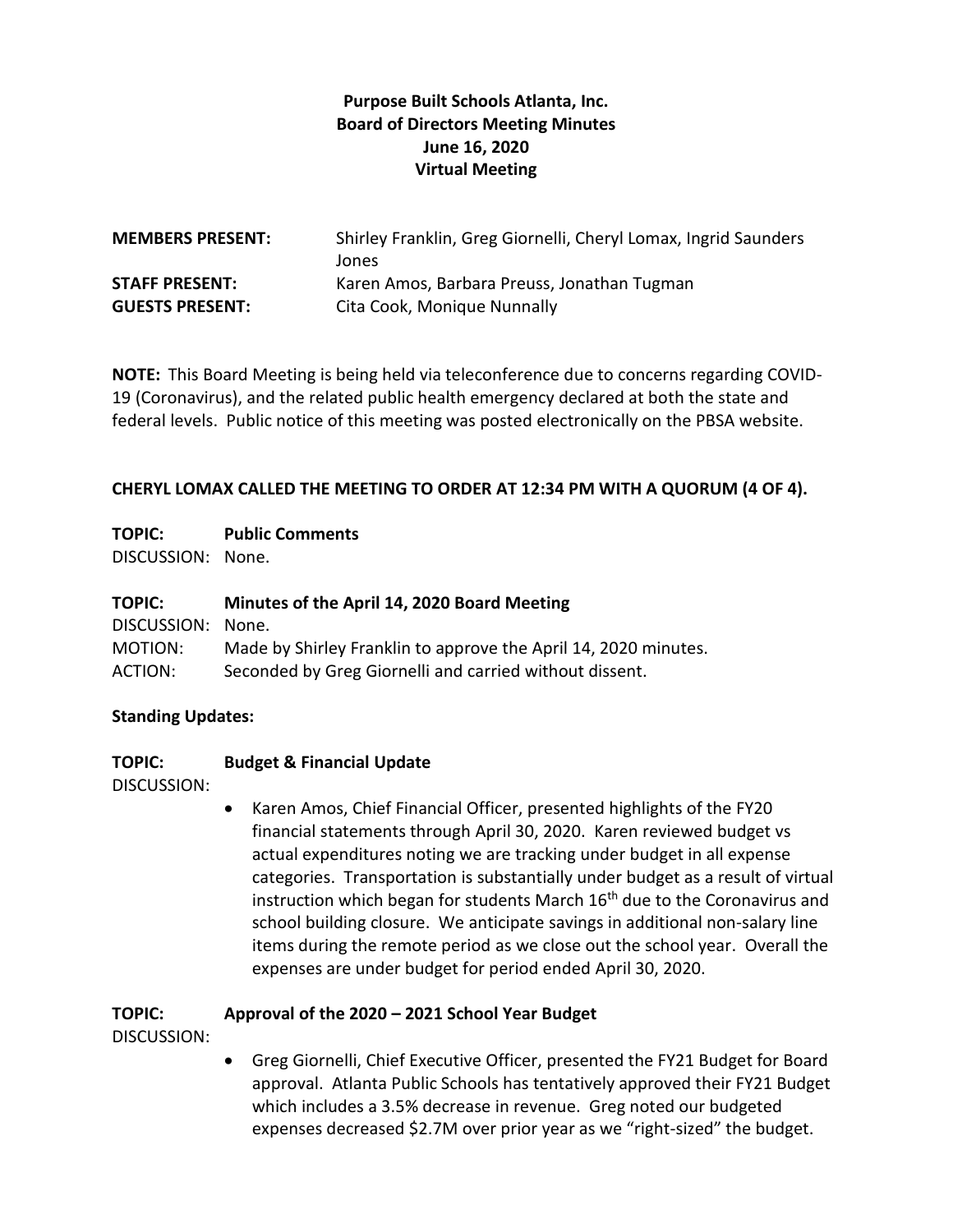## **Purpose Built Schools Atlanta, Inc. Board of Directors Meeting Minutes June 16, 2020 Virtual Meeting**

| <b>MEMBERS PRESENT:</b> | Shirley Franklin, Greg Giornelli, Cheryl Lomax, Ingrid Saunders<br>Jones |
|-------------------------|--------------------------------------------------------------------------|
| <b>STAFF PRESENT:</b>   | Karen Amos, Barbara Preuss, Jonathan Tugman                              |
| <b>GUESTS PRESENT:</b>  | Cita Cook, Monique Nunnally                                              |

**NOTE:** This Board Meeting is being held via teleconference due to concerns regarding COVID-19 (Coronavirus), and the related public health emergency declared at both the state and federal levels. Public notice of this meeting was posted electronically on the PBSA website.

#### **CHERYL LOMAX CALLED THE MEETING TO ORDER AT 12:34 PM WITH A QUORUM (4 OF 4).**

### **TOPIC: Public Comments**

DISCUSSION: None.

#### **TOPIC: Minutes of the April 14, 2020 Board Meeting**

| DISCUSSION: None. |                                                                 |
|-------------------|-----------------------------------------------------------------|
| MOTION:           | Made by Shirley Franklin to approve the April 14, 2020 minutes. |
| ACTION:           | Seconded by Greg Giornelli and carried without dissent.         |

#### **Standing Updates:**

#### **TOPIC: Budget & Financial Update**

DISCUSSION:

 Karen Amos, Chief Financial Officer, presented highlights of the FY20 financial statements through April 30, 2020. Karen reviewed budget vs actual expenditures noting we are tracking under budget in all expense categories. Transportation is substantially under budget as a result of virtual instruction which began for students March 16<sup>th</sup> due to the Coronavirus and school building closure. We anticipate savings in additional non-salary line items during the remote period as we close out the school year. Overall the expenses are under budget for period ended April 30, 2020.

### **TOPIC: Approval of the 2020 – 2021 School Year Budget**

DISCUSSION:

 Greg Giornelli, Chief Executive Officer, presented the FY21 Budget for Board approval. Atlanta Public Schools has tentatively approved their FY21 Budget which includes a 3.5% decrease in revenue. Greg noted our budgeted expenses decreased \$2.7M over prior year as we "right-sized" the budget.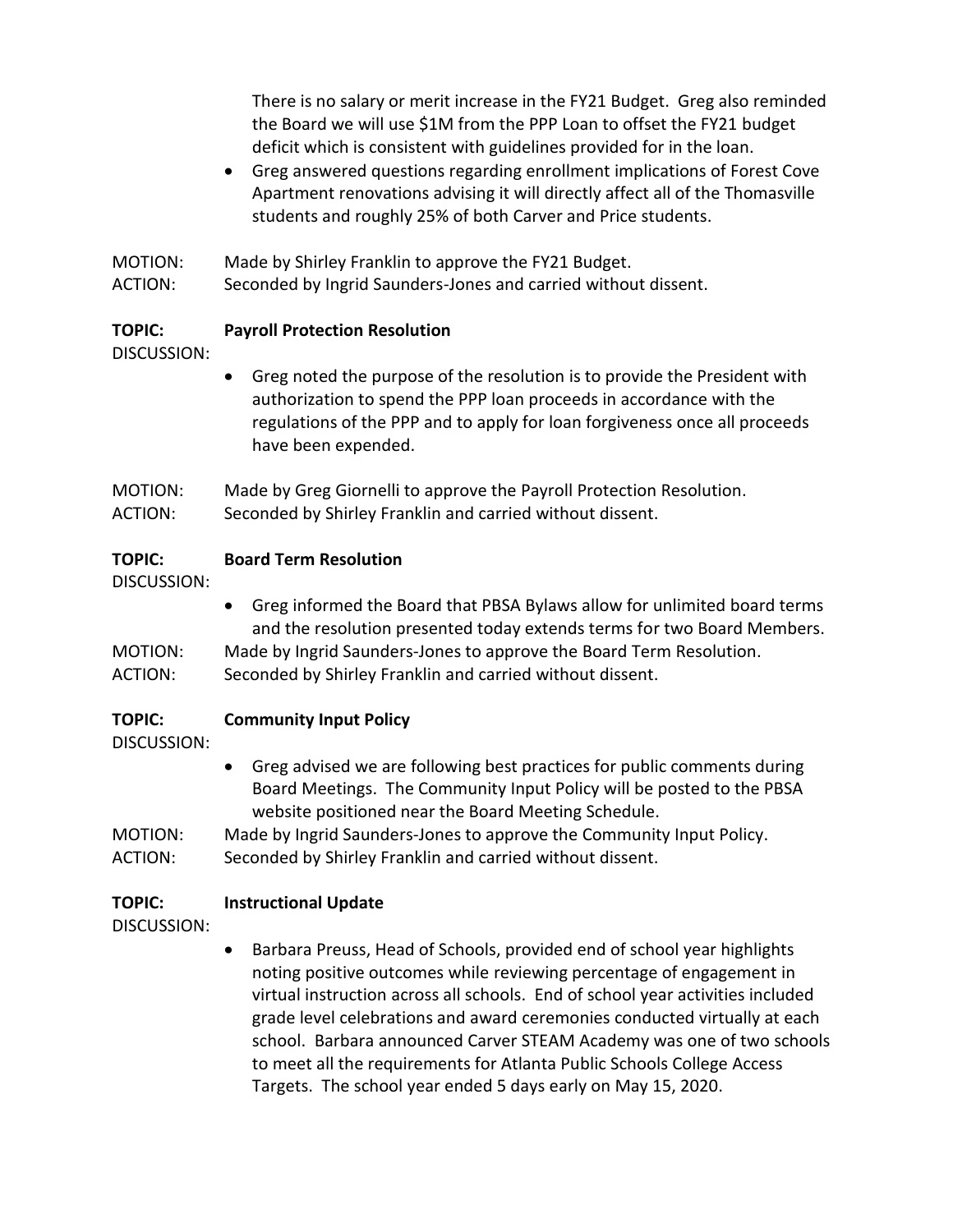There is no salary or merit increase in the FY21 Budget. Greg also reminded the Board we will use \$1M from the PPP Loan to offset the FY21 budget deficit which is consistent with guidelines provided for in the loan.

- Greg answered questions regarding enrollment implications of Forest Cove Apartment renovations advising it will directly affect all of the Thomasville students and roughly 25% of both Carver and Price students.
- MOTION: Made by Shirley Franklin to approve the FY21 Budget.
- ACTION: Seconded by Ingrid Saunders-Jones and carried without dissent.

### **TOPIC: Payroll Protection Resolution**

DISCUSSION:

- Greg noted the purpose of the resolution is to provide the President with authorization to spend the PPP loan proceeds in accordance with the regulations of the PPP and to apply for loan forgiveness once all proceeds have been expended.
- MOTION: Made by Greg Giornelli to approve the Payroll Protection Resolution. ACTION: Seconded by Shirley Franklin and carried without dissent.

### **TOPIC: Board Term Resolution**

DISCUSSION:

- Greg informed the Board that PBSA Bylaws allow for unlimited board terms and the resolution presented today extends terms for two Board Members. MOTION: Made by Ingrid Saunders-Jones to approve the Board Term Resolution.
- ACTION: Seconded by Shirley Franklin and carried without dissent.

### **TOPIC: Community Input Policy**

### DISCUSSION:

 Greg advised we are following best practices for public comments during Board Meetings. The Community Input Policy will be posted to the PBSA website positioned near the Board Meeting Schedule.

MOTION: Made by Ingrid Saunders-Jones to approve the Community Input Policy. ACTION: Seconded by Shirley Franklin and carried without dissent.

### **TOPIC: Instructional Update**

- DISCUSSION:
- Barbara Preuss, Head of Schools, provided end of school year highlights noting positive outcomes while reviewing percentage of engagement in virtual instruction across all schools. End of school year activities included grade level celebrations and award ceremonies conducted virtually at each school. Barbara announced Carver STEAM Academy was one of two schools to meet all the requirements for Atlanta Public Schools College Access Targets. The school year ended 5 days early on May 15, 2020.